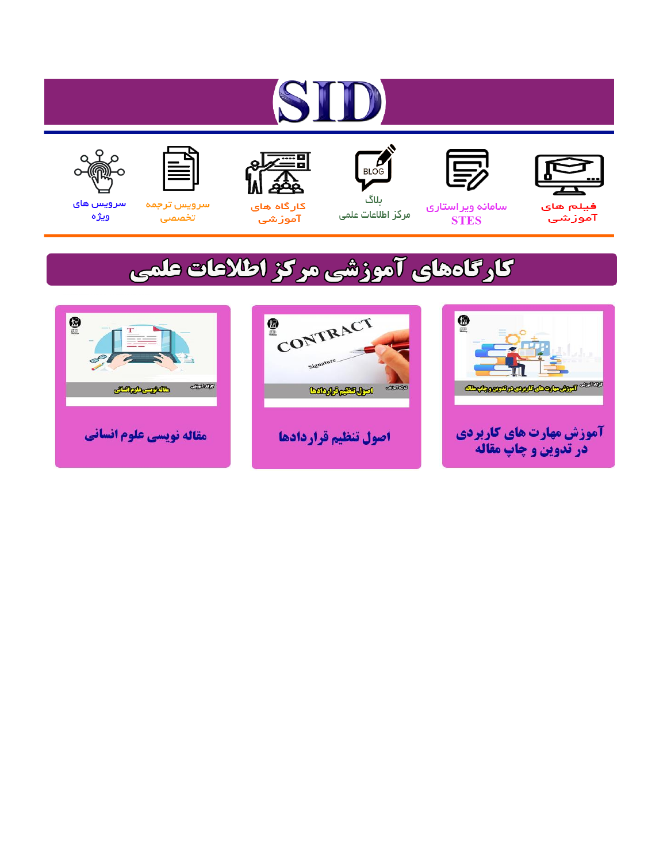# ST











مرکز اطلاعات علمی

 $\frac{1}{\sqrt{\frac{1}{100}}}$ ىلاگ



آموزشي

空

سرويس ترجمه تخصصى



سرویس های ويژه

# كارگاههای آموزشی مركز اطلاعات علمی





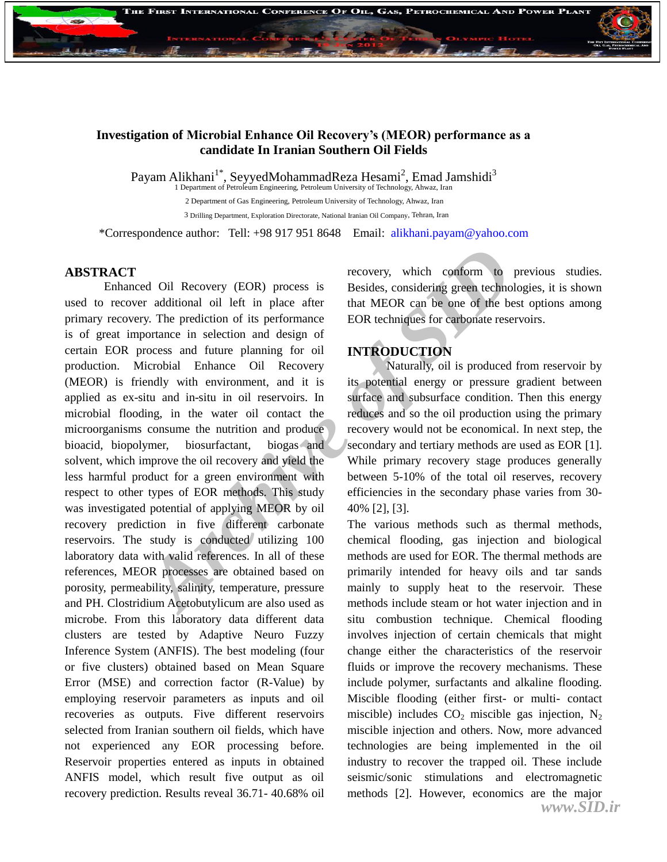

#### **Investigation of Microbial Enhance Oil Recovery's (MEOR) performance as a candidate In Iranian Southern Oil Fields**

Payam Alikhani<sup>1\*</sup>, SeyyedMohammadReza Hesami<sup>2</sup>, Emad Jamshidi<sup>3</sup><br>1 Department of Petroleum Engineering, Petroleum University of Technology, Ahwaz, Iran

2 Department of Gas Engineering, Petroleum University of Technology, Ahwaz, Iran 3 Drilling Department, Exploration Directorate, National Iranian Oil Company, Tehran, Iran

\*Correspondence author: Tell: +98 917 951 8648 Email: alikhani.payam@yahoo.com

#### **ABSTRACT**

recovery (EOR) process is<br>
Besides, considering green technom<br> *Archive is* Besides, considering green technom<br> *Archive is* Desides, considering green technom<br> *Archive is* performance<br> *ARCHIV* in experiment and design o Enhanced Oil Recovery (EOR) process is used to recover additional oil left in place after primary recovery. The prediction of its performance is of great importance in selection and design of certain EOR process and future planning for oil production. Microbial Enhance Oil Recovery (MEOR) is friendly with environment, and it is applied as ex-situ and in-situ in oil reservoirs. In microbial flooding, in the water oil contact the microorganisms consume the nutrition and produce bioacid, biopolymer, biosurfactant, biogas and solvent, which improve the oil recovery and yield the less harmful product for a green environment with respect to other types of EOR methods. This study was investigated potential of applying MEOR by oil recovery prediction in five different carbonate reservoirs. The study is conducted utilizing 100 laboratory data with valid references. In all of these references, MEOR processes are obtained based on porosity, permeability, salinity, temperature, pressure and PH. Clostridium Acetobutylicum are also used as microbe. From this laboratory data different data clusters are tested by Adaptive Neuro Fuzzy Inference System (ANFIS). The best modeling (four or five clusters) obtained based on Mean Square Error (MSE) and correction factor (R-Value) by employing reservoir parameters as inputs and oil recoveries as outputs. Five different reservoirs selected from Iranian southern oil fields, which have not experienced any EOR processing before. Reservoir properties entered as inputs in obtained ANFIS model, which result five output as oil recovery prediction. Results reveal 36.71- 40.68% oil

recovery, which conform to previous studies. Besides, considering green technologies, it is shown that MEOR can be one of the best options among EOR techniques for carbonate reservoirs.

## **INTRODUCTION**

Naturally, oil is produced from reservoir by its potential energy or pressure gradient between surface and subsurface condition. Then this energy reduces and so the oil production using the primary recovery would not be economical. In next step, the secondary and tertiary methods are used as EOR [1]. While primary recovery stage produces generally between 5-10% of the total oil reserves, recovery efficiencies in the secondary phase varies from 30- 40% [2], [3].

The various methods such as thermal methods, chemical flooding, gas injection and biological methods are used for EOR. The thermal methods are primarily intended for heavy oils and tar sands mainly to supply heat to the reservoir. These methods include steam or hot water injection and in situ combustion technique. Chemical flooding involves injection of certain chemicals that might change either the characteristics of the reservoir fluids or improve the recovery mechanisms. These include polymer, surfactants and alkaline flooding. Miscible flooding (either first- or multi- contact miscible) includes  $CO<sub>2</sub>$  miscible gas injection, N<sub>2</sub> miscible injection and others. Now, more advanced technologies are being implemented in the oil industry to recover the trapped oil. These include seismic/sonic stimulations and electromagnetic methods [2]. However, economics are the major *www.SID.ir*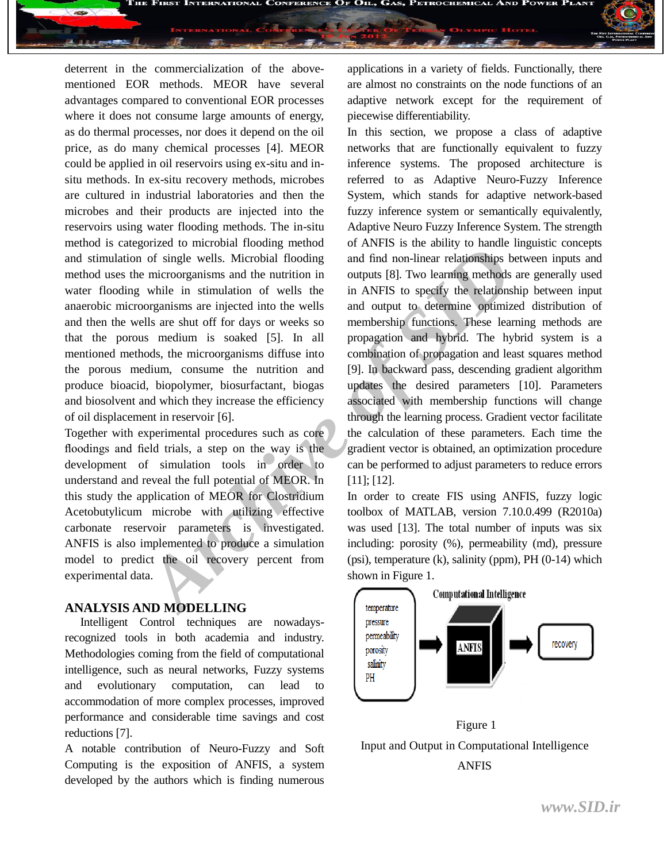deterrent in the commercialization of the abovementioned EOR methods. MEOR have several advantages compared to conventional EOR processes where it does not consume large amounts of energy, as do thermal processes, nor does it depend on the oil price, as do many chemical processes [4]. MEOR could be applied in oil reservoirs using ex-situ and insitu methods. In ex-situ recovery methods, microbes are cultured in industrial laboratories and then the microbes and their products are injected into the reservoirs using water flooding methods. The in-situ method is categorized to microbial flooding method and stimulation of single wells. Microbial flooding method uses the microorganisms and the nutrition in water flooding while in stimulation of wells the anaerobic microorganisms are injected into the wells and then the wells are shut off for days or weeks so that the porous medium is soaked [5]. In all mentioned methods, the microorganisms diffuse into the porous medium, consume the nutrition and produce bioacid, biopolymer, biosurfactant, biogas and biosolvent and which they increase the efficiency of oil displacement in reservoir [6].

Together with experimental procedures such as core floodings and field trials, a step on the way is the development of simulation tools in order to understand and reveal the full potential of MEOR. In this study the application of MEOR for Clostridium Acetobutylicum microbe with utilizing effective carbonate reservoir parameters is investigated. ANFIS is also implemented to produce a simulation model to predict the oil recovery percent from experimental data.

#### **ANALYSIS AND MODELLING**

Intelligent Control techniques are nowadaysrecognized tools in both academia and industry. Methodologies coming from the field of computational intelligence, such as neural networks, Fuzzy systems and evolutionary computation, can lead to accommodation of more complex processes, improved performance and considerable time savings and cost reductions [7].

A notable contribution of Neuro-Fuzzy and Soft Computing is the exposition of ANFIS, a system developed by the authors which is finding numerous

applications in a variety of fields. Functionally, there are almost no constraints on the node functions of an adaptive network except for the requirement of piecewise differentiability.

a F

Force the method in the state of the state and the state of the state and the state of single wells. Microbial flooding and find non-linear relationships be microorganisms and the nutrition in outputs [8]. Two learning met In this section, we propose a class of adaptive networks that are functionally equivalent to fuzzy inference systems. The proposed architecture is referred to as Adaptive Neuro-Fuzzy Inference System, which stands for adaptive network-based fuzzy inference system or semantically equivalently, Adaptive Neuro Fuzzy Inference System. The strength of ANFIS is the ability to handle linguistic concepts and find non-linear relationships between inputs and outputs [8]. Two learning methods are generally used in ANFIS to specify the relationship between input and output to determine optimized distribution of membership functions. These learning methods are propagation and hybrid. The hybrid system is a combination of propagation and least squares method [9]. In backward pass, descending gradient algorithm updates the desired parameters [10]. Parameters associated with membership functions will change through the learning process. Gradient vector facilitate the calculation of these parameters. Each time the gradient vector is obtained, an optimization procedure can be performed to adjust parameters to reduce errors [11]; [12].

In order to create FIS using ANFIS, fuzzy logic toolbox of MATLAB, version 7.10.0.499 (R2010a) was used [13]. The total number of inputs was six including: porosity (%), permeability (md), pressure  $(psi)$ , temperature  $(k)$ , salinity  $(ppm)$ , PH $(0-14)$  which shown in Figure 1.



Figure 1 Input and Output in Computational Intelligence ANFIS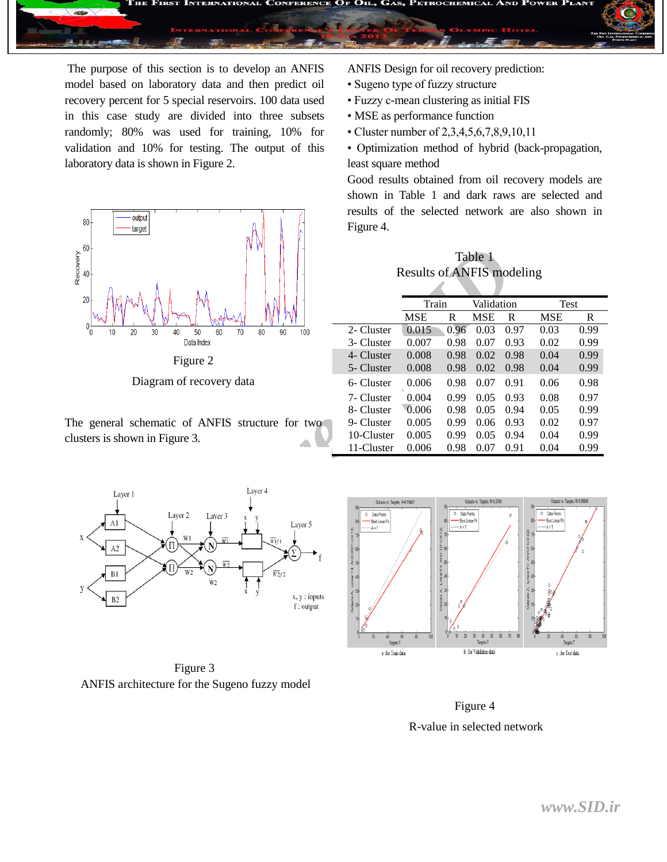

The purpose of this section is to develop an ANFIS model based on laboratory data and then predict oil recovery percent for 5 special reservoirs. 100 data used in this case study are divided into three subsets randomly; 80% was used for training, 10% for validation and 10% for testing. The output of this laboratory data is shown in Figure 2.





Diagram of recovery data

The general schematic of ANFIS structure for two clusters is shown in Figure 3.

ANFIS Design for oil recovery prediction:

- Sugeno type of fuzzy structure
- Fuzzy c-mean clustering as initial FIS
- MSE as performance function
- Cluster number of 2,3,4,5,6,7,8,9,10,11
- Optimization method of hybrid (back-propagation, least square method

Good results obtained from oil recovery models are shown in Table 1 and dark raws are selected and results of the selected network are also shown in Figure 4.

Table 1 Results of ANFIS modeling

| Y VY                                                                                                                                                                                                  | Table 1<br><b>Results of ANFIS modeling</b>                                                                                                                   |            |                                                                                                                                                                                                            |                               |                                                          |                                                                                          |              |  |
|-------------------------------------------------------------------------------------------------------------------------------------------------------------------------------------------------------|---------------------------------------------------------------------------------------------------------------------------------------------------------------|------------|------------------------------------------------------------------------------------------------------------------------------------------------------------------------------------------------------------|-------------------------------|----------------------------------------------------------|------------------------------------------------------------------------------------------|--------------|--|
|                                                                                                                                                                                                       |                                                                                                                                                               | Train      |                                                                                                                                                                                                            | Validation                    |                                                          | Test                                                                                     |              |  |
|                                                                                                                                                                                                       |                                                                                                                                                               | <b>MSE</b> | $\mathbb{R}$                                                                                                                                                                                               | <b>MSE</b>                    | R                                                        | <b>MSE</b>                                                                               | $\mathbb{R}$ |  |
| 30<br>80<br>40<br>50<br>60<br>70<br>90<br>100                                                                                                                                                         | 2- Cluster                                                                                                                                                    | 0.015      | 0.96                                                                                                                                                                                                       | 0.03                          | 0.97                                                     | 0.03                                                                                     | 0.99         |  |
| Data Index                                                                                                                                                                                            | 3- Cluster                                                                                                                                                    | 0.007      | 0.98                                                                                                                                                                                                       | 0.07                          | 0.93                                                     | 0.02                                                                                     | 0.99         |  |
| Figure 2                                                                                                                                                                                              | 4- Cluster                                                                                                                                                    | 0.008      | 0.98                                                                                                                                                                                                       | 0.02                          | 0.98                                                     | 0.04                                                                                     | 0.99         |  |
|                                                                                                                                                                                                       | 5- Cluster                                                                                                                                                    | 0.008      | 0.98                                                                                                                                                                                                       | 0.02                          | 0.98                                                     | 0.04                                                                                     | 0.99         |  |
| iagram of recovery data                                                                                                                                                                               | 6- Cluster                                                                                                                                                    | 0.006      | 0.98                                                                                                                                                                                                       | 0.07                          | 0.91                                                     | 0.06                                                                                     | 0.98         |  |
|                                                                                                                                                                                                       | 7- Cluster                                                                                                                                                    | 0.004      | 0.99                                                                                                                                                                                                       | 0.05                          | 0.93                                                     | 0.08                                                                                     | 0.97         |  |
|                                                                                                                                                                                                       | 8- Cluster                                                                                                                                                    | 0.006      | 0.98                                                                                                                                                                                                       | 0.05                          | 0.94                                                     | 0.05                                                                                     | 0.99         |  |
| hematic of ANFIS structure for two                                                                                                                                                                    | 9- Cluster                                                                                                                                                    | 0.005      | 0.99                                                                                                                                                                                                       | 0.06                          | 0.93                                                     | 0.02                                                                                     | 0.97         |  |
| n in Figure 3.                                                                                                                                                                                        | 10-Cluster                                                                                                                                                    | 0.005      | 0.99                                                                                                                                                                                                       | 0.05                          | 0.94                                                     | 0.04                                                                                     | 0.99         |  |
|                                                                                                                                                                                                       | 11-Cluster                                                                                                                                                    | 0.006      | 0.98                                                                                                                                                                                                       | 0.07                          | 0.91                                                     | 0.04                                                                                     | 0.99         |  |
| Layer 4                                                                                                                                                                                               |                                                                                                                                                               |            |                                                                                                                                                                                                            |                               |                                                          |                                                                                          |              |  |
| Layer 2<br>Layer 3<br>Layer 5<br>W1<br>$\overline{w}_{if1}$<br>$\blacklozenge(\Pi)$<br>W <sub>2</sub><br>₹П<br>W <sub>2</sub><br>$\overline{w_2}r_2$<br>W <sub>2</sub><br>$x, y:$ inputs<br>f: output | Outputs vs. Targets, R=0.99461<br>Data Points<br>$\circ$<br>Best Linear Fit<br>A=T<br>$A = (0.84)T + (0.14)$<br>$B = C$<br>Linear Filt:<br>승<br>$\frac{3}{2}$ |            | <b>Data Points</b><br>0<br>Best Linear Fit<br>$-A = T$<br>$+(-0.72)$<br>$-4(1.1)^{T}$<br>∢ 50<br>ă<br>Linea<br>Li<br>$\begin{array}{c}\n\text{Outsets A}, \\ \text{Outpoints A}, \\ \text{B}\n\end{array}$ | Outputs vs. Targets, R=0.9789 | 0<br>$\frac{8}{9}$ 70<br>$rac{1}{2}$<br>$\frac{5}{5}$ 20 | Outputs vs. Targets, R=0.98086<br>$\circ$<br>Data Points<br>Best Linear Fit<br>A=T<br>40 |              |  |



Figure 3 ANFIS architecture for the Sugeno fuzzy model



Figure 4 R-value in selected network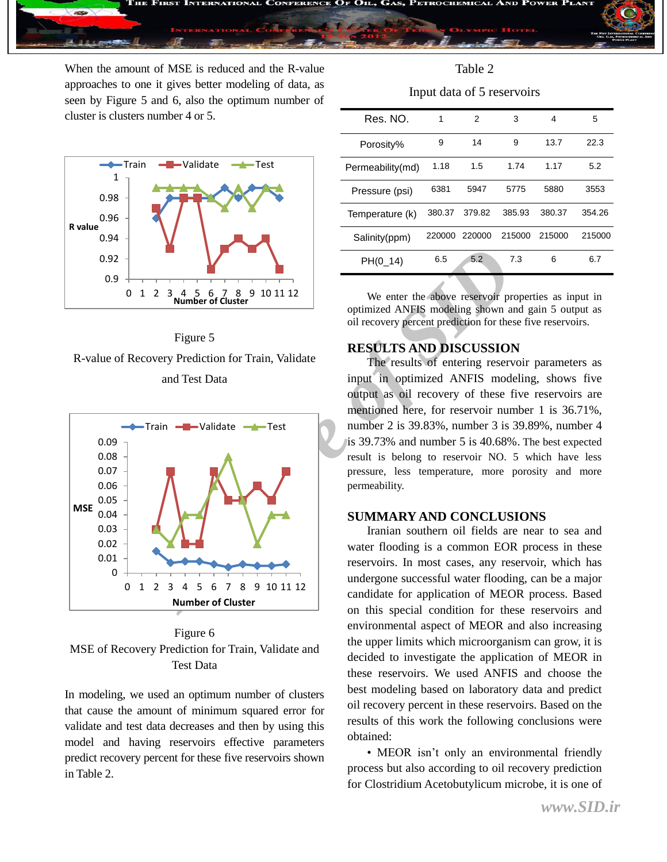

When the amount of MSE is reduced and the R-value approaches to one it gives better modeling of data, as seen by Figure 5 and 6, also the optimum number of cluster is clusters number 4 or 5.







Figure 6 MSE of Recovery Prediction for Train, Validate and Test Data

In modeling, we used an optimum number of clusters that cause the amount of minimum squared error for validate and test data decreases and then by using this model and having reservoirs effective parameters predict recovery percent for these five reservoirs shown in Table 2.

Input data of 5 reservoirs

| Res. NO.         | 1      | 2      | 3      | 4      | 5      |
|------------------|--------|--------|--------|--------|--------|
| Porosity%        | 9      | 14     | 9      | 13.7   | 22.3   |
| Permeability(md) | 1.18   | 1.5    | 1.74   | 1.17   | 5.2    |
| Pressure (psi)   | 6381   | 5947   | 5775   | 5880   | 3553   |
| Temperature (k)  | 380.37 | 379.82 | 385.93 | 380.37 | 354.26 |
| Salinity(ppm)    | 220000 | 220000 | 215000 | 215000 | 215000 |
| $PH(0_14)$       | 6.5    | 5.2    | 7.3    | 6      | 6.7    |
|                  |        |        |        |        |        |

We enter the above reservoir properties as input in optimized ANFIS modeling shown and gain 5 output as oil recovery percent prediction for these five reservoirs.

## **RESULTS AND DISCUSSION**

The results of entering reservoir parameters as input in optimized ANFIS modeling, shows five output as oil recovery of these five reservoirs are mentioned here, for reservoir number 1 is 36.71%, number 2 is 39.83%, number 3 is 39.89%, number 4 is 39.73% and number 5 is 40.68%. The best expected result is belong to reservoir NO. 5 which have less pressure, less temperature, more porosity and more permeability.

#### **SUMMARY AND CONCLUSIONS**

Iranian southern oil fields are near to sea and water flooding is a common EOR process in these reservoirs. In most cases, any reservoir, which has undergone successful water flooding, can be a major candidate for application of MEOR process. Based on this special condition for these reservoirs and environmental aspect of MEOR and also increasing the upper limits which microorganism can grow, it is decided to investigate the application of MEOR in these reservoirs. We used ANFIS and choose the best modeling based on laboratory data and predict oil recovery percent in these reservoirs. Based on the results of this work the following conclusions were obtained:

• MEOR isn't only an environmental friendly process but also according to oil recovery prediction for Clostridium Acetobutylicum microbe, it is one of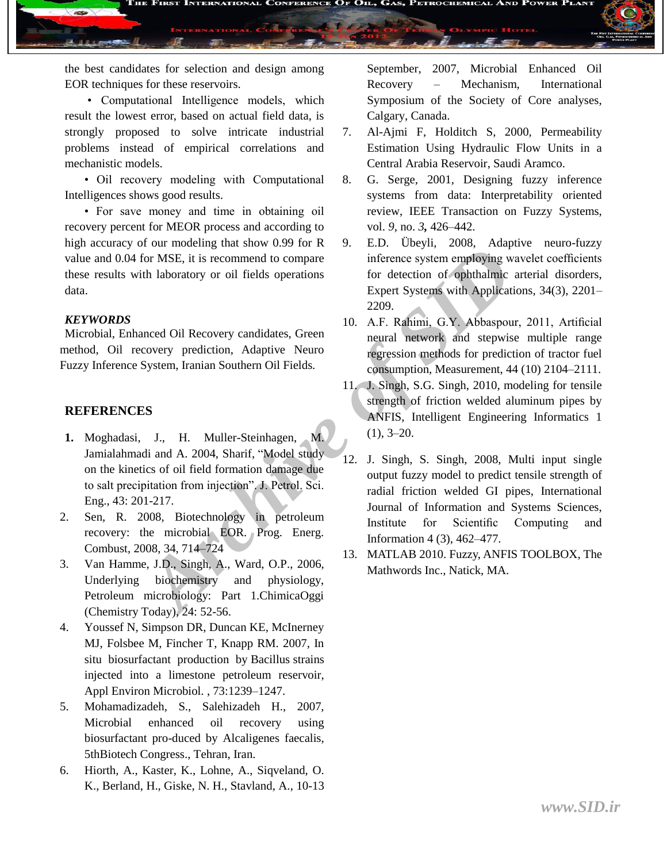the best candidates for selection and design among EOR techniques for these reservoirs.

• Computational Intelligence models, which result the lowest error, based on actual field data, is strongly proposed to solve intricate industrial problems instead of empirical correlations and mechanistic models.

• Oil recovery modeling with Computational Intelligences shows good results.

• For save money and time in obtaining oil recovery percent for MEOR process and according to high accuracy of our modeling that show 0.99 for R value and 0.04 for MSE, it is recommend to compare these results with laboratory or oil fields operations data.

#### *KEYWORDS*

Microbial, Enhanced Oil Recovery candidates, Green method, Oil recovery prediction, Adaptive Neuro Fuzzy Inference System, Iranian Southern Oil Fields.

## **REFERENCES**

- **1.** Moghadasi, J., H. Muller-Steinhagen, M. Jamialahmadi and A. 2004, Sharif, "Model study on the kinetics of oil field formation damage due to salt precipitation from injection". J. Petrol. Sci. Eng., 43: 201-217.
- 2. Sen, R. 2008, Biotechnology in petroleum recovery: the microbial EOR. Prog. Energ. Combust, 2008, 34, 714–724
- 3. Van Hamme, J.D., Singh, A., Ward, O.P., 2006, Underlying biochemistry and physiology, Petroleum microbiology: Part 1.ChimicaOggi (Chemistry Today), 24: 52-56.
- 4. Youssef N, Simpson DR, Duncan KE, McInerney MJ, Folsbee M, Fincher T, Knapp RM. 2007, In situ biosurfactant production by Bacillus strains injected into a limestone petroleum reservoir, Appl Environ Microbiol. , 73:1239–1247.
- 5. Mohamadizadeh, S., Salehizadeh H., 2007, Microbial enhanced oil recovery using biosurfactant pro-duced by Alcaligenes faecalis, 5thBiotech Congress., Tehran, Iran.
- 6. Hiorth, A., Kaster, K., Lohne, A., Siqveland, O. K., Berland, H., Giske, N. H., Stavland, A., 10-13

September, 2007, Microbial Enhanced Oil Recovery – Mechanism, International Symposium of the Society of Core analyses, Calgary, Canada.

- 7. Al-Ajmi F, Holditch S, 2000, Permeability Estimation Using Hydraulic Flow Units in a Central Arabia Reservoir, Saudi Aramco.
- 8. G. Serge, 2001, Designing fuzzy inference systems from data: Interpretability oriented review, IEEE Transaction on Fuzzy Systems, vol. *9*, no. *3,* 426–442.
- 9. E.D. Übeyli, 2008, Adaptive neuro-fuzzy inference system employing wavelet coefficients for detection of ophthalmic arterial disorders, Expert Systems with Applications, 34(3), 2201– 2209.
- 10. A.F. Rahimi, G.Y. Abbaspour, 2011, Artificial neural network and stepwise multiple range regression methods for prediction of tractor fuel consumption, Measurement, 44 (10) 2104–2111.
- 11. J. Singh, S.G. Singh, 2010, modeling for tensile strength of friction welded aluminum pipes by ANFIS, Intelligent Engineering Informatics 1  $(1), 3-20.$
- *Archive System, Iranian Southern Office System, Properties, Hand and A. 2004, Start Compare*<br> *Archive Signet Systems, Inchene Systems with Application*<br> *Archive System, Iranian Southern Oil Fields.*<br> *Archive Neuro*<br> *A* 12. J. Singh, S. Singh, 2008, Multi input single output fuzzy model to predict tensile strength of radial friction welded GI pipes, International Journal of Information and Systems Sciences, Institute for Scientific Computing and Information 4 (3), 462–477.
	- 13. MATLAB 2010. Fuzzy, ANFIS TOOLBOX, The Mathwords Inc., Natick, MA.